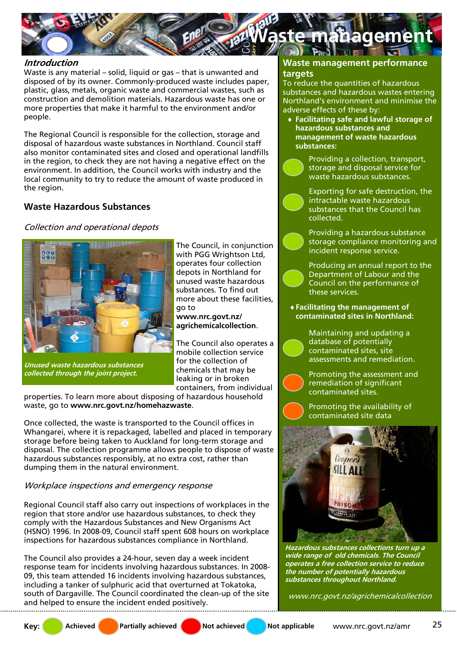

## **Introduction**

Waste is any material – solid, liquid or gas – that is unwanted and disposed of by its owner. Commonly-produced waste includes paper, plastic, glass, metals, organic waste and commercial wastes, such as construction and demolition materials. Hazardous waste has one or more properties that make it harmful to the environment and/or people.

The Regional Council is responsible for the collection, storage and disposal of hazardous waste substances in Northland. Council staff also monitor contaminated sites and closed and operational landfills in the region, to check they are not having a negative effect on the environment. In addition, the Council works with industry and the local community to try to reduce the amount of waste produced in the region.

# **Waste Hazardous Substances**

### Collection and operational depots



**Unused waste hazardous substances collected through the joint project.** 

The Council, in conjunction with PGG Wrightson Ltd, operates four collection depots in Northland for unused waste hazardous substances. To find out more about these facilities, go to

**www.nrc.govt.nz/ agrichemicalcollection**.

The Council also operates a mobile collection service for the collection of chemicals that may be leaking or in broken containers, from individual

properties. To learn more about disposing of hazardous household waste, go to **www.nrc.govt.nz/homehazwaste**.

Once collected, the waste is transported to the Council offices in Whangarei, where it is repackaged, labelled and placed in temporary storage before being taken to Auckland for long-term storage and disposal. The collection programme allows people to dispose of waste hazardous substances responsibly, at no extra cost, rather than dumping them in the natural environment.

# Workplace inspections and emergency response

Regional Council staff also carry out inspections of workplaces in the region that store and/or use hazardous substances, to check they comply with the Hazardous Substances and New Organisms Act (HSNO) 1996. In 2008-09, Council staff spent 608 hours on workplace inspections for hazardous substances compliance in Northland.

The Council also provides a 24-hour, seven day a week incident response team for incidents involving hazardous substances. In 2008- 09, this team attended 16 incidents involving hazardous substances, including a tanker of sulphuric acid that overturned at Tokatoka, south of Dargaville. The Council coordinated the clean-up of the site and helped to ensure the incident ended positively.

## **Waste management performance targets**

To reduce the quantities of hazardous substances and hazardous wastes entering Northland's environment and minimise the adverse effects of these by:

♦ **Facilitating safe and lawful storage of hazardous substances and management of waste hazardous substances:**

> Providing a collection, transport, storage and disposal service for waste hazardous substances.

Exporting for safe destruction, the intractable waste hazardous substances that the Council has collected.

Providing a hazardous substance storage compliance monitoring and incident response service.

Producing an annual report to the Department of Labour and the Council on the performance of these services.

♦ **Facilitating the management of contaminated sites in Northland:**

> Maintaining and updating a database of potentially contaminated sites, site assessments and remediation.

Promoting the assessment and remediation of significant contaminated sites.

Promoting the availability of contaminated site data



**Hazardous substances collections turn up a wide range of old chemicals. The Council operates a free collection service to reduce the number of potentially hazardous substances throughout Northland.** 

www.nrc.govt.nz/agrichemicalcollection